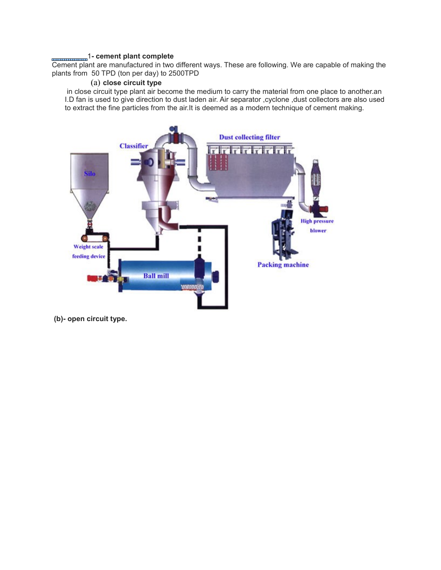#### 1**- cement plant complete**

Cement plant are manufactured in two different ways. These are following. We are capable of making the plants from 50 TPD (ton per day) to 2500TPD

## (a) **close circuit type**

 in close circuit type plant air become the medium to carry the material from one place to another.an I.D fan is used to give direction to dust laden air. Air separator ,cyclone ,dust collectors are also used to extract the fine particles from the air.It is deemed as a modern technique of cement making.



**(b)- open circuit type.**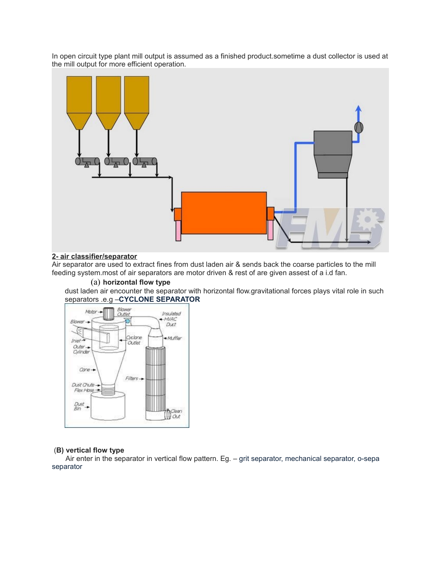In open circuit type plant mill output is assumed as a finished product.sometime a dust collector is used at the mill output for more efficient operation.



# **2- air classifier/separator**

Air separator are used to extract fines from dust laden air & sends back the coarse particles to the mill feeding system.most of air separators are motor driven & rest of are given assest of a i.d fan.

#### (a) **horizontal flow type**

dust laden air encounter the separator with horizontal flow.gravitational forces plays vital role in such separators .e.g –**CYCLONE SEPARATOR**



#### (**B) vertical flow type**

 Air enter in the separator in vertical flow pattern. Eg. – grit separator, mechanical separator, o-sepa separator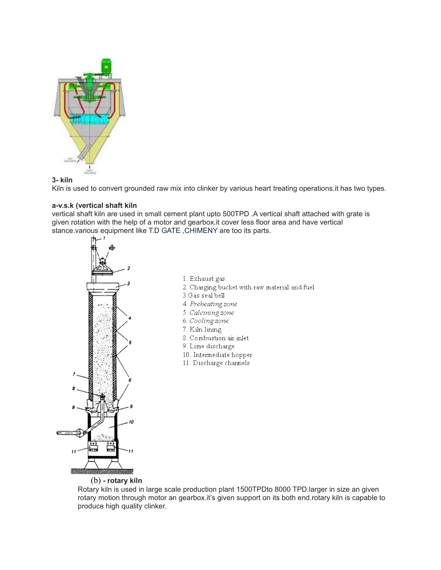

### **3- kiln**

Kiln is used to convert grounded raw mix into clinker by various heart treating operations.it has two types.

### **a-v.s.k (vertical shaft kiln**

vertical shaft kiln are used in small cement plant upto 500TPD .A vertical shaft attached with grate is given rotation with the help of a motor and gearbox.it cover less floor area and have vertical stance.various equipment like T.D GATE ,CHIMENY are too its parts.



- 1. Exhaust gas
- 2. Charging bucket with raw material and fuel
- 3. Gas seal bell
- 4. Preheating zone
- 5. Calcining zone
- 6. Cooling zone
- 7. Kiln lining
- 8. Combustion air inlet
- 9. Lime discharge
- 10. Intermediate hopper
- 11. Discharge channels

(b) **- rotary kiln**

Rotary kiln is used in large scale production plant 1500TPDto 8000 TPD.larger in size an given rotary motion through motor an gearbox.it's given support on its both end.rotary kiln is capable to produce high quality clinker.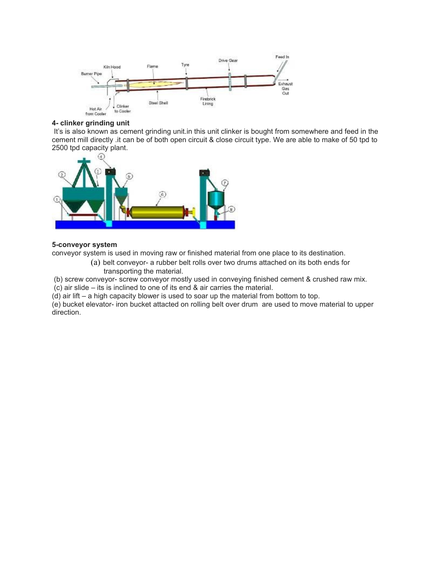

## **4- clinker grinding unit**

It's is also known as cement grinding unit.in this unit clinker is bought from somewhere and feed in the cement mill directly .it can be of both open circuit & close circuit type. We are able to make of 50 tpd to 2500 tpd capacity plant.



## **5-conveyor system**

conveyor system is used in moving raw or finished material from one place to its destination.

(a) belt conveyor- a rubber belt rolls over two drums attached on its both ends for transporting the material.

(b) screw conveyor- screw conveyor mostly used in conveying finished cement & crushed raw mix.

(c) air slide – its is inclined to one of its end & air carries the material.

(d) air lift – a high capacity blower is used to soar up the material from bottom to top.

(e) bucket elevator- iron bucket attacted on rolling belt over drum are used to move material to upper direction.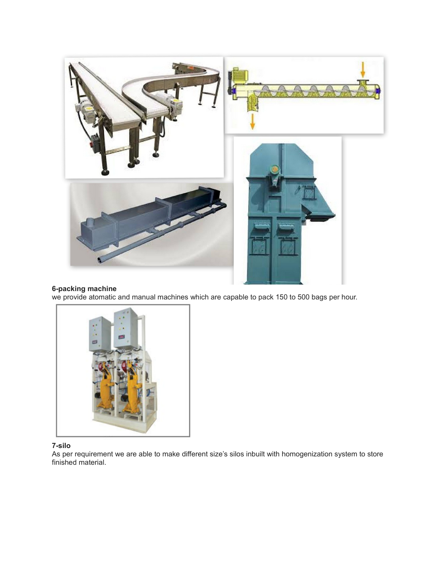

### **6-packing machine**

we provide atomatic and manual machines which are capable to pack 150 to 500 bags per hour.



# **7-silo**

As per requirement we are able to make different size's silos inbuilt with homogenization system to store finished material.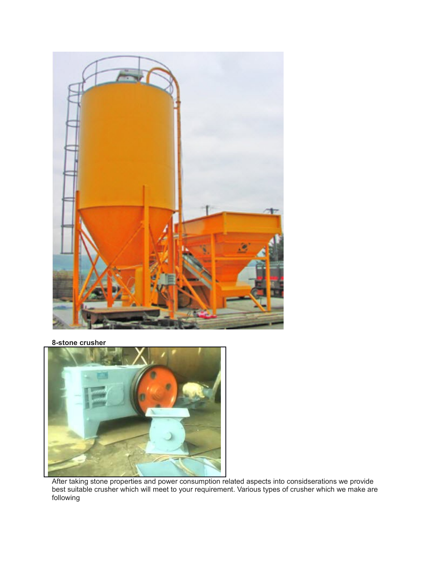

**8-stone crusher**



After taking stone properties and power consumption related aspects into considserations we provide best suitable crusher which will meet to your requirement. Various types of crusher which we make are following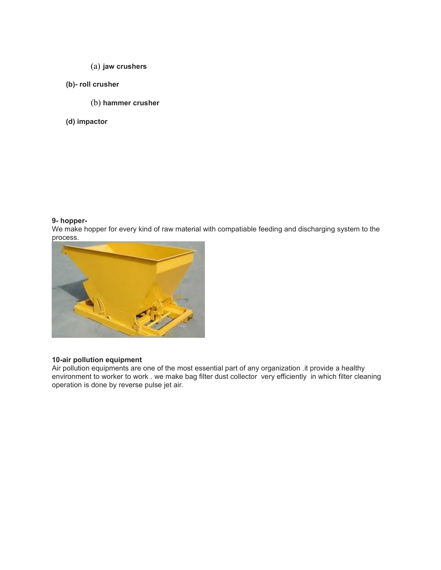- (a) **jaw crushers**
- **(b)- roll crusher** 
	- (b) **hammer crusher**
- **(d) impactor**

## **9- hopper-**

We make hopper for every kind of raw material with compatiable feeding and discharging system to the process.



## **10-air pollution equipment**

Air pollution equipments are one of the most essential part of any organization .it provide a healthy environment to worker to work . we make bag filter dust collector very efficiently in which filter cleaning operation is done by reverse pulse jet air.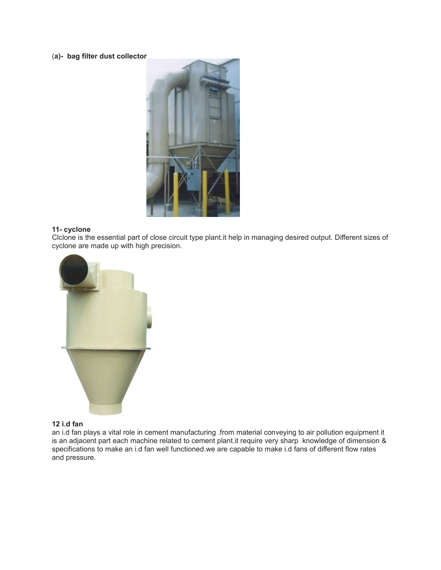# (**a)- bag filter dust collector**



## **11- cyclone**

Clclone is the essential part of close circuit type plant.it help in managing desired output. Different sizes of cyclone are made up with high precision.



## **12 i.d fan**

an i.d fan plays a vital role in cement manufacturing .from material conveying to air pollution equipment it is an adjacent part each machine related to cement plant.it require very sharp knowledge of dimension & specifications to make an i.d fan well functioned.we are capable to make i.d fans of different flow rates and pressure.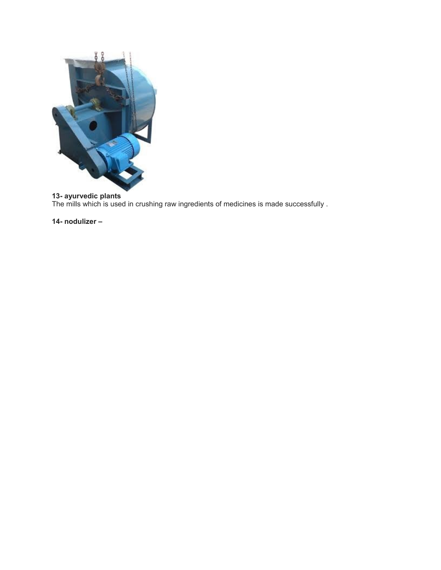

## **13- ayurvedic plants**

The mills which is used in crushing raw ingredients of medicines is made successfully .

**14- nodulizer –**